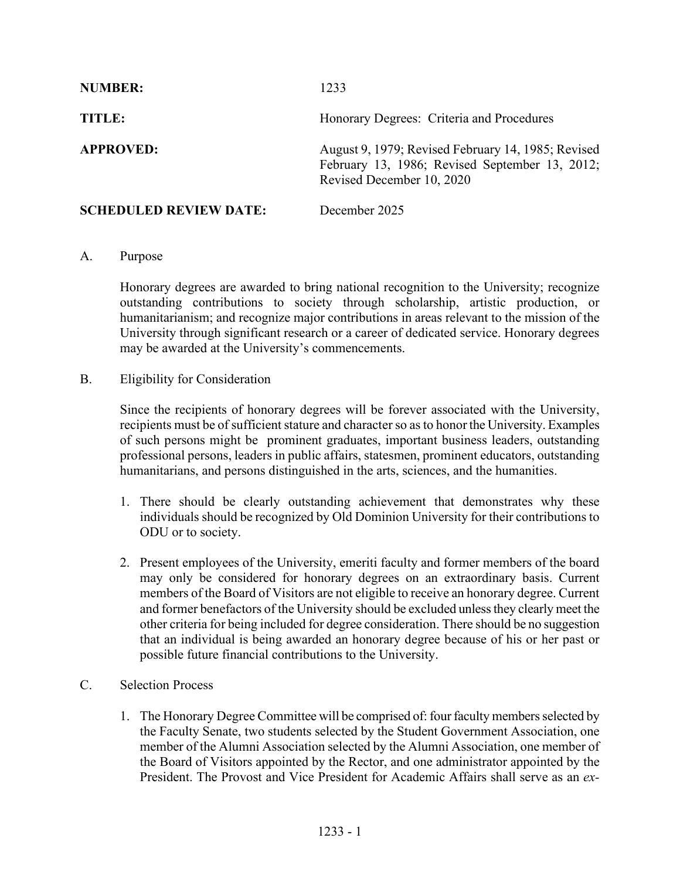| <b>NUMBER:</b>                | 1233                                                                                                                              |
|-------------------------------|-----------------------------------------------------------------------------------------------------------------------------------|
| TITLE:                        | Honorary Degrees: Criteria and Procedures                                                                                         |
| <b>APPROVED:</b>              | August 9, 1979; Revised February 14, 1985; Revised<br>February 13, 1986; Revised September 13, 2012;<br>Revised December 10, 2020 |
| <b>SCHEDULED REVIEW DATE:</b> | December 2025                                                                                                                     |

A. Purpose

Honorary degrees are awarded to bring national recognition to the University; recognize outstanding contributions to society through scholarship, artistic production, or humanitarianism; and recognize major contributions in areas relevant to the mission of the University through significant research or a career of dedicated service. Honorary degrees may be awarded at the University's commencements.

B. Eligibility for Consideration

Since the recipients of honorary degrees will be forever associated with the University, recipients must be of sufficient stature and character so as to honor the University. Examples of such persons might be prominent graduates, important business leaders, outstanding professional persons, leaders in public affairs, statesmen, prominent educators, outstanding humanitarians, and persons distinguished in the arts, sciences, and the humanities.

- 1. There should be clearly outstanding achievement that demonstrates why these individuals should be recognized by Old Dominion University for their contributions to ODU or to society.
- 2. Present employees of the University, emeriti faculty and former members of the board may only be considered for honorary degrees on an extraordinary basis. Current members of the Board of Visitors are not eligible to receive an honorary degree. Current and former benefactors of the University should be excluded unless they clearly meet the other criteria for being included for degree consideration. There should be no suggestion that an individual is being awarded an honorary degree because of his or her past or possible future financial contributions to the University.
- C. Selection Process
	- 1. The Honorary Degree Committee will be comprised of: four faculty members selected by the Faculty Senate, two students selected by the Student Government Association, one member of the Alumni Association selected by the Alumni Association, one member of the Board of Visitors appointed by the Rector, and one administrator appointed by the President. The Provost and Vice President for Academic Affairs shall serve as an *ex-*